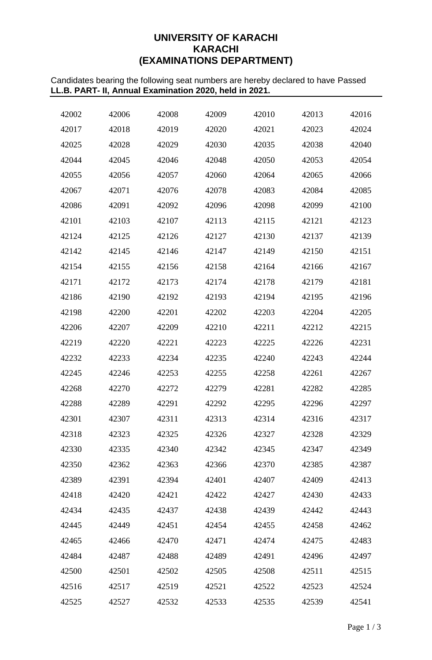# **UNIVERSITY OF KARACHI KARACHI (EXAMINATIONS DEPARTMENT)**

Candidates bearing the following seat numbers are hereby declared to have Passed **LL.B. PART- II, Annual Examination 2020, held in 2021.**

| 42002 | 42006 | 42008 | 42009 | 42010 | 42013 | 42016 |
|-------|-------|-------|-------|-------|-------|-------|
| 42017 | 42018 | 42019 | 42020 | 42021 | 42023 | 42024 |
| 42025 | 42028 | 42029 | 42030 | 42035 | 42038 | 42040 |
| 42044 | 42045 | 42046 | 42048 | 42050 | 42053 | 42054 |
| 42055 | 42056 | 42057 | 42060 | 42064 | 42065 | 42066 |
| 42067 | 42071 | 42076 | 42078 | 42083 | 42084 | 42085 |
| 42086 | 42091 | 42092 | 42096 | 42098 | 42099 | 42100 |
| 42101 | 42103 | 42107 | 42113 | 42115 | 42121 | 42123 |
| 42124 | 42125 | 42126 | 42127 | 42130 | 42137 | 42139 |
| 42142 | 42145 | 42146 | 42147 | 42149 | 42150 | 42151 |
| 42154 | 42155 | 42156 | 42158 | 42164 | 42166 | 42167 |
| 42171 | 42172 | 42173 | 42174 | 42178 | 42179 | 42181 |
| 42186 | 42190 | 42192 | 42193 | 42194 | 42195 | 42196 |
| 42198 | 42200 | 42201 | 42202 | 42203 | 42204 | 42205 |
| 42206 | 42207 | 42209 | 42210 | 42211 | 42212 | 42215 |
| 42219 | 42220 | 42221 | 42223 | 42225 | 42226 | 42231 |
| 42232 | 42233 | 42234 | 42235 | 42240 | 42243 | 42244 |
| 42245 | 42246 | 42253 | 42255 | 42258 | 42261 | 42267 |
| 42268 | 42270 | 42272 | 42279 | 42281 | 42282 | 42285 |
| 42288 | 42289 | 42291 | 42292 | 42295 | 42296 | 42297 |
| 42301 | 42307 | 42311 | 42313 | 42314 | 42316 | 42317 |
| 42318 | 42323 | 42325 | 42326 | 42327 | 42328 | 42329 |
| 42330 | 42335 | 42340 | 42342 | 42345 | 42347 | 42349 |
| 42350 | 42362 | 42363 | 42366 | 42370 | 42385 | 42387 |
| 42389 | 42391 | 42394 | 42401 | 42407 | 42409 | 42413 |
| 42418 | 42420 | 42421 | 42422 | 42427 | 42430 | 42433 |
| 42434 | 42435 | 42437 | 42438 | 42439 | 42442 | 42443 |
| 42445 | 42449 | 42451 | 42454 | 42455 | 42458 | 42462 |
| 42465 | 42466 | 42470 | 42471 | 42474 | 42475 | 42483 |
| 42484 | 42487 | 42488 | 42489 | 42491 | 42496 | 42497 |
| 42500 | 42501 | 42502 | 42505 | 42508 | 42511 | 42515 |
| 42516 | 42517 | 42519 | 42521 | 42522 | 42523 | 42524 |
| 42525 | 42527 | 42532 | 42533 | 42535 | 42539 | 42541 |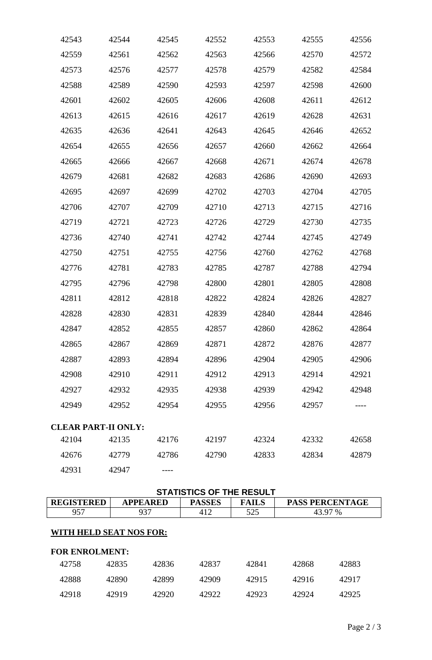| 42543 | 42544                      | 42545 | 42552 | 42553 | 42555 | 42556 |
|-------|----------------------------|-------|-------|-------|-------|-------|
| 42559 | 42561                      | 42562 | 42563 | 42566 | 42570 | 42572 |
| 42573 | 42576                      | 42577 | 42578 | 42579 | 42582 | 42584 |
| 42588 | 42589                      | 42590 | 42593 | 42597 | 42598 | 42600 |
| 42601 | 42602                      | 42605 | 42606 | 42608 | 42611 | 42612 |
| 42613 | 42615                      | 42616 | 42617 | 42619 | 42628 | 42631 |
| 42635 | 42636                      | 42641 | 42643 | 42645 | 42646 | 42652 |
| 42654 | 42655                      | 42656 | 42657 | 42660 | 42662 | 42664 |
| 42665 | 42666                      | 42667 | 42668 | 42671 | 42674 | 42678 |
| 42679 | 42681                      | 42682 | 42683 | 42686 | 42690 | 42693 |
| 42695 | 42697                      | 42699 | 42702 | 42703 | 42704 | 42705 |
| 42706 | 42707                      | 42709 | 42710 | 42713 | 42715 | 42716 |
| 42719 | 42721                      | 42723 | 42726 | 42729 | 42730 | 42735 |
| 42736 | 42740                      | 42741 | 42742 | 42744 | 42745 | 42749 |
| 42750 | 42751                      | 42755 | 42756 | 42760 | 42762 | 42768 |
| 42776 | 42781                      | 42783 | 42785 | 42787 | 42788 | 42794 |
| 42795 | 42796                      | 42798 | 42800 | 42801 | 42805 | 42808 |
| 42811 | 42812                      | 42818 | 42822 | 42824 | 42826 | 42827 |
| 42828 | 42830                      | 42831 | 42839 | 42840 | 42844 | 42846 |
| 42847 | 42852                      | 42855 | 42857 | 42860 | 42862 | 42864 |
| 42865 | 42867                      | 42869 | 42871 | 42872 | 42876 | 42877 |
| 42887 | 42893                      | 42894 | 42896 | 42904 | 42905 | 42906 |
| 42908 | 42910                      | 42911 | 42912 | 42913 | 42914 | 42921 |
| 42927 | 42932                      | 42935 | 42938 | 42939 | 42942 | 42948 |
| 42949 | 42952                      | 42954 | 42955 | 42956 | 42957 |       |
|       | <b>CLEAR PART-II ONLY:</b> |       |       |       |       |       |
| 42104 | 42135                      | 42176 | 42197 | 42324 | 42332 | 42658 |
| 42676 | 42779                      | 42786 | 42790 | 42833 | 42834 | 42879 |
| 42931 | 42947                      |       |       |       |       |       |

| <b>STATISTICS OF THE RESULT</b>                                                                 |       |       |       |       |         |       |  |  |  |
|-------------------------------------------------------------------------------------------------|-------|-------|-------|-------|---------|-------|--|--|--|
| <b>REGISTERED</b><br><b>PASSES</b><br><b>APPEARED</b><br><b>FAILS</b><br><b>PASS PERCENTAGE</b> |       |       |       |       |         |       |  |  |  |
| 957                                                                                             | 937   |       | 412   | 525   | 43.97 % |       |  |  |  |
| WITH HELD SEAT NOS FOR:<br><b>FOR ENROLMENT:</b>                                                |       |       |       |       |         |       |  |  |  |
| 42758                                                                                           | 42835 | 42836 | 42837 | 42841 | 42868   | 42883 |  |  |  |
| 42888                                                                                           | 42890 | 42899 | 42909 | 42915 | 42916   | 42917 |  |  |  |
| 42918                                                                                           | 42919 | 42920 | 42922 | 42923 | 42924   | 42925 |  |  |  |